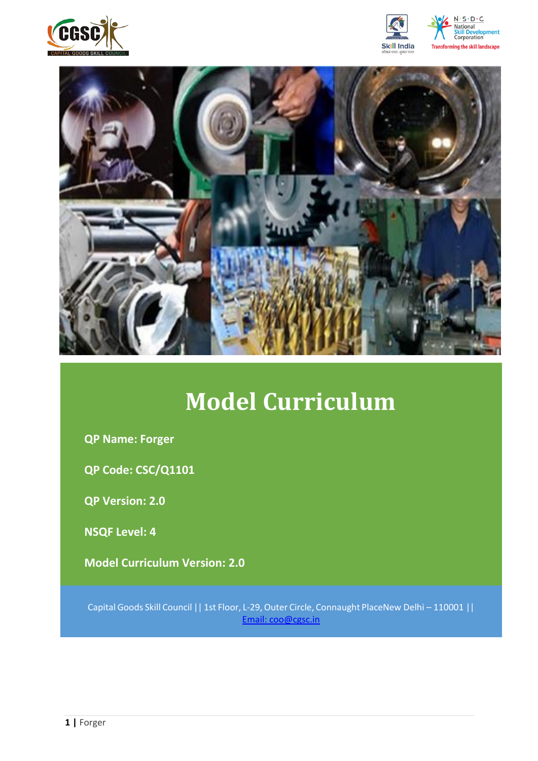







# **Model Curriculum**

**QP Name: Forger**

**QP Code: CSC/Q1101**

**QP Version: 2.0**

**NSQF Level: 4**

**Model Curriculum Version: 2.0** 

Capital Goods Skill Council || 1st Floor, L-29,Outer Circle, Connaught PlaceNew Delhi – 110001 || Email: [coo@cgsc.in](mailto:Email:%20coo@cgsc.in)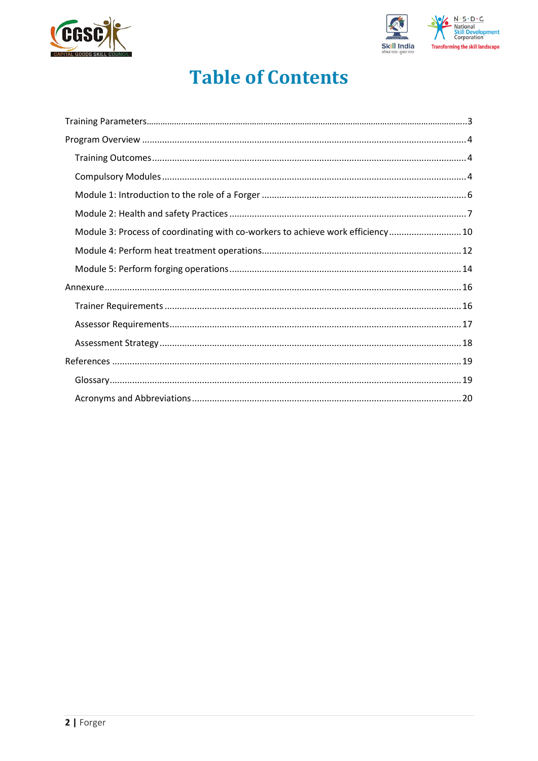



# **Table of Contents**

| Module 3: Process of coordinating with co-workers to achieve work efficiency 10 |  |
|---------------------------------------------------------------------------------|--|
|                                                                                 |  |
|                                                                                 |  |
|                                                                                 |  |
|                                                                                 |  |
|                                                                                 |  |
|                                                                                 |  |
|                                                                                 |  |
|                                                                                 |  |
|                                                                                 |  |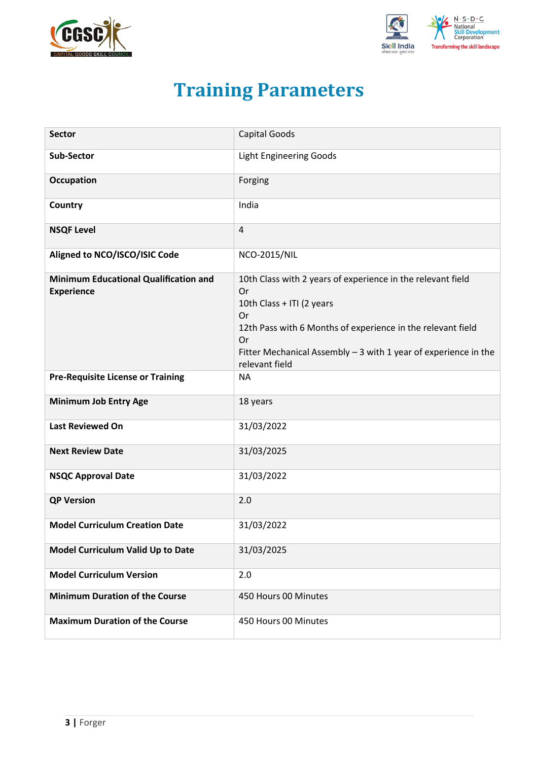<span id="page-2-0"></span>



# **Training Parameters**

| <b>Sector</b>                                                     | <b>Capital Goods</b>                                                                                                                                                                                                                                            |
|-------------------------------------------------------------------|-----------------------------------------------------------------------------------------------------------------------------------------------------------------------------------------------------------------------------------------------------------------|
| Sub-Sector                                                        | <b>Light Engineering Goods</b>                                                                                                                                                                                                                                  |
| <b>Occupation</b>                                                 | Forging                                                                                                                                                                                                                                                         |
| Country                                                           | India                                                                                                                                                                                                                                                           |
| <b>NSQF Level</b>                                                 | 4                                                                                                                                                                                                                                                               |
| Aligned to NCO/ISCO/ISIC Code                                     | <b>NCO-2015/NIL</b>                                                                                                                                                                                                                                             |
| <b>Minimum Educational Qualification and</b><br><b>Experience</b> | 10th Class with 2 years of experience in the relevant field<br>Or<br>10th Class + ITI (2 years<br>Or<br>12th Pass with 6 Months of experience in the relevant field<br>Or<br>Fitter Mechanical Assembly $-3$ with 1 year of experience in the<br>relevant field |
| <b>Pre-Requisite License or Training</b>                          | <b>NA</b>                                                                                                                                                                                                                                                       |
| <b>Minimum Job Entry Age</b>                                      | 18 years                                                                                                                                                                                                                                                        |
| <b>Last Reviewed On</b>                                           | 31/03/2022                                                                                                                                                                                                                                                      |
| <b>Next Review Date</b>                                           | 31/03/2025                                                                                                                                                                                                                                                      |
| <b>NSQC Approval Date</b>                                         | 31/03/2022                                                                                                                                                                                                                                                      |
| <b>QP Version</b>                                                 | 2.0                                                                                                                                                                                                                                                             |
| <b>Model Curriculum Creation Date</b>                             | 31/03/2022                                                                                                                                                                                                                                                      |
| Model Curriculum Valid Up to Date                                 | 31/03/2025                                                                                                                                                                                                                                                      |
| <b>Model Curriculum Version</b>                                   | 2.0                                                                                                                                                                                                                                                             |
| <b>Minimum Duration of the Course</b>                             | 450 Hours 00 Minutes                                                                                                                                                                                                                                            |
| <b>Maximum Duration of the Course</b>                             | 450 Hours 00 Minutes                                                                                                                                                                                                                                            |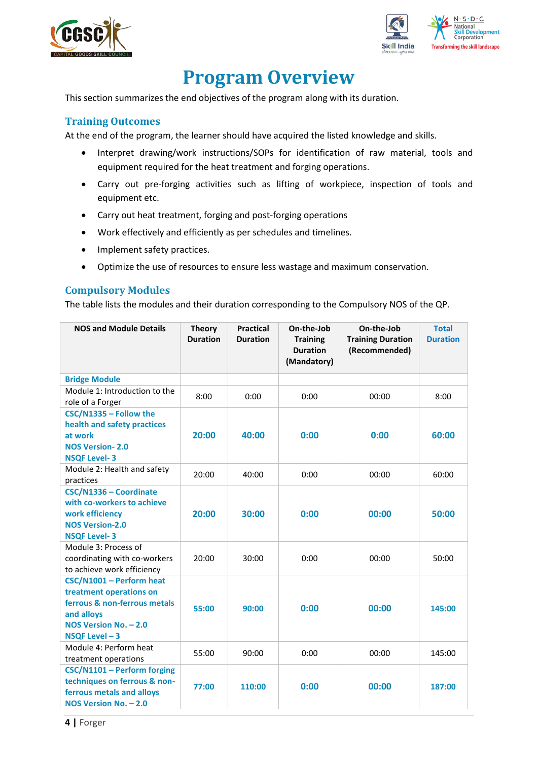



# **Program Overview**

<span id="page-3-0"></span>This section summarizes the end objectives of the program along with its duration.

## <span id="page-3-1"></span>**Training Outcomes**

<span id="page-3-2"></span>At the end of the program, the learner should have acquired the listed knowledge and skills.

- Interpret drawing/work instructions/SOPs for identification of raw material, tools and equipment required for the heat treatment and forging operations.
- Carry out pre-forging activities such as lifting of workpiece, inspection of tools and equipment etc.
- Carry out heat treatment, forging and post-forging operations
- Work effectively and efficiently as per schedules and timelines.
- Implement safety practices.
- Optimize the use of resources to ensure less wastage and maximum conservation.

## **Compulsory Modules**

The table lists the modules and their duration corresponding to the Compulsory NOS of the QP.

| <b>NOS and Module Details</b>                                                                                                                 | <b>Theory</b><br><b>Duration</b> | <b>Practical</b><br><b>Duration</b> | On-the-Job<br><b>Training</b><br><b>Duration</b><br>(Mandatory) | On-the-Job<br><b>Training Duration</b><br>(Recommended) | <b>Total</b><br><b>Duration</b> |
|-----------------------------------------------------------------------------------------------------------------------------------------------|----------------------------------|-------------------------------------|-----------------------------------------------------------------|---------------------------------------------------------|---------------------------------|
| <b>Bridge Module</b>                                                                                                                          |                                  |                                     |                                                                 |                                                         |                                 |
| Module 1: Introduction to the<br>role of a Forger                                                                                             | 8:00                             | 0:00                                | 0:00                                                            | 00:00                                                   | 8:00                            |
| CSC/N1335 - Follow the<br>health and safety practices<br>at work<br><b>NOS Version-2.0</b><br><b>NSQF Level-3</b>                             | 20:00                            | 40:00                               | 0:00                                                            | 0:00                                                    | 60:00                           |
| Module 2: Health and safety<br>practices                                                                                                      | 20:00                            | 40:00                               | 0:00                                                            | 00:00                                                   | 60:00                           |
| CSC/N1336 - Coordinate<br>with co-workers to achieve<br>work efficiency<br><b>NOS Version-2.0</b><br><b>NSQF Level-3</b>                      | 20:00                            | 30:00                               | 0:00                                                            | 00:00                                                   | 50:00                           |
| Module 3: Process of<br>coordinating with co-workers<br>to achieve work efficiency                                                            | 20:00                            | 30:00                               | 0:00                                                            | 00:00                                                   | 50:00                           |
| CSC/N1001 - Perform heat<br>treatment operations on<br>ferrous & non-ferrous metals<br>and alloys<br>NOS Version No. - 2.0<br>NSQF Level $-3$ | 55:00                            | 90:00                               | 0:00                                                            | 00:00                                                   | 145:00                          |
| Module 4: Perform heat<br>treatment operations                                                                                                | 55:00                            | 90:00                               | 0:00                                                            | 00:00                                                   | 145:00                          |
| CSC/N1101 - Perform forging<br>techniques on ferrous & non-<br>ferrous metals and alloys<br>NOS Version No. - 2.0                             | 77:00                            | 110:00                              | 0:00                                                            | 00:00                                                   | 187:00                          |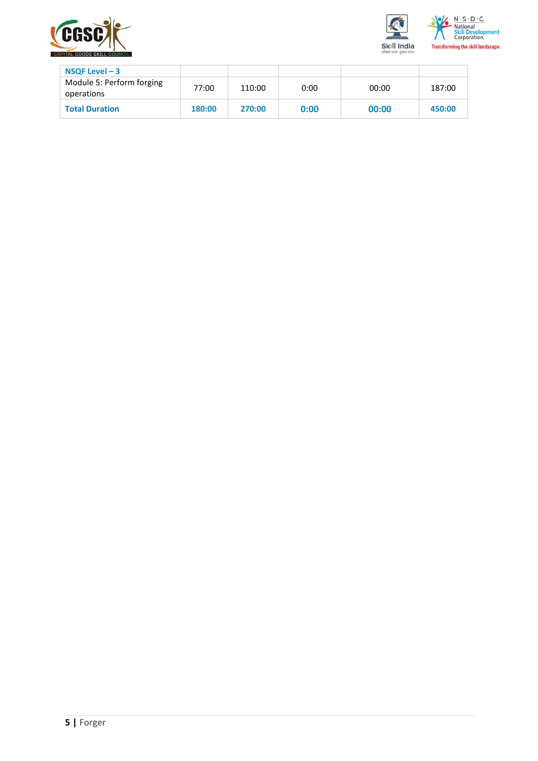



| $NSQF$ Level $-3$                       |        |        |      |       |        |
|-----------------------------------------|--------|--------|------|-------|--------|
| Module 5: Perform forging<br>operations | 77:00  | 110:00 | 0:00 | 00:00 | 187:00 |
| <b>Total Duration</b>                   | 180:00 | 270:00 | 0:00 | 00:00 | 450:00 |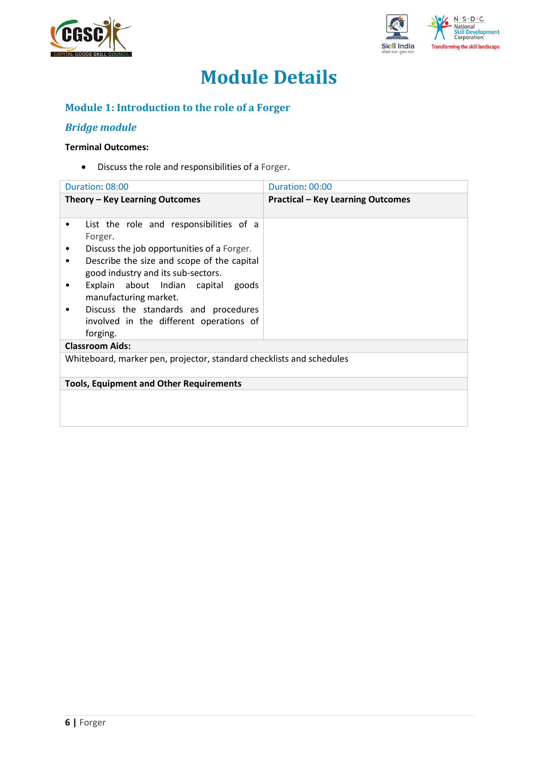



# **Module Details**

## **Module 1: Introduction to the role of a Forger**

## *Bridge module*

### **Terminal Outcomes:**

• Discuss the role and responsibilities of a Forger.

| Duration: 08:00                                                                                                                                                                                                                                                                                                                                              | Duration: 00:00                          |  |  |
|--------------------------------------------------------------------------------------------------------------------------------------------------------------------------------------------------------------------------------------------------------------------------------------------------------------------------------------------------------------|------------------------------------------|--|--|
| Theory – Key Learning Outcomes                                                                                                                                                                                                                                                                                                                               | <b>Practical - Key Learning Outcomes</b> |  |  |
| List the role and responsibilities of a<br>Forger.<br>Discuss the job opportunities of a Forger.<br>Describe the size and scope of the capital<br>٠<br>good industry and its sub-sectors.<br>Explain about Indian capital goods<br>٠<br>manufacturing market.<br>Discuss the standards and procedures<br>involved in the different operations of<br>forging. |                                          |  |  |
| <b>Classroom Aids:</b>                                                                                                                                                                                                                                                                                                                                       |                                          |  |  |
| Whiteboard, marker pen, projector, standard checklists and schedules                                                                                                                                                                                                                                                                                         |                                          |  |  |
| <b>Tools, Equipment and Other Requirements</b>                                                                                                                                                                                                                                                                                                               |                                          |  |  |
|                                                                                                                                                                                                                                                                                                                                                              |                                          |  |  |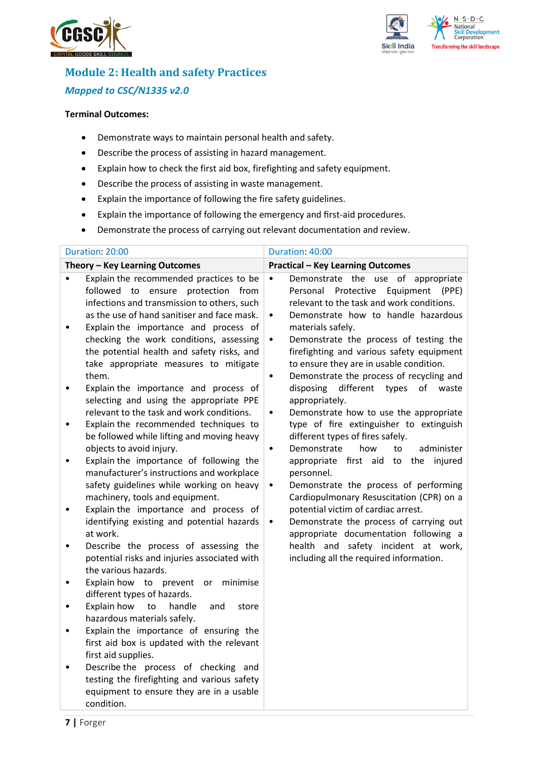



## **Module 2: Health and safety Practices** *Mapped to CSC/N1335 v2.0*

- Demonstrate ways to maintain personal health and safety.
- Describe the process of assisting in hazard management.
- Explain how to check the first aid box, firefighting and safety equipment.
- Describe the process of assisting in waste management.
- Explain the importance of following the fire safety guidelines.
- Explain the importance of following the emergency and first-aid procedures.
- Demonstrate the process of carrying out relevant documentation and review.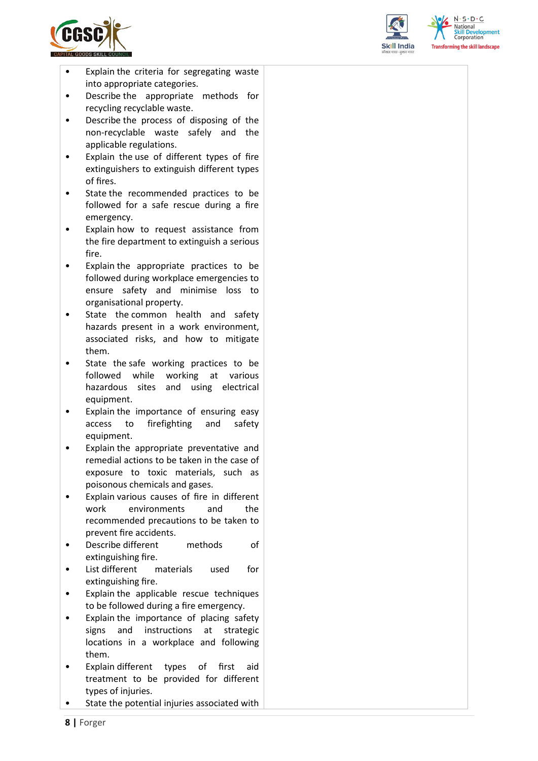

- Explain the criteria for segregating waste into appropriate categories.
- Describe the appropriate methods for recycling recyclable waste.
- Describe the process of disposing of the non-recyclable waste safely and the applicable regulations.
- Explain the use of different types of fire extinguishers to extinguish different types of fires.
- State the recommended practices to be followed for a safe rescue during a fire emergency.
- Explain how to request assistance from the fire department to extinguish a serious fire.
- Explain the appropriate practices to be followed during workplace emergencies to ensure safety and minimise loss to organisational property.
- State the common health and safety hazards present in a work environment, associated risks, and how to mitigate them.
- State the safe working practices to be followed while working at various hazardous sites and using electrical equipment.
- Explain the importance of ensuring easy access to firefighting and safety equipment.
- Explain the appropriate preventative and remedial actions to be taken in the case of exposure to toxic materials, such as poisonous chemicals and gases.
- Explain various causes of fire in different work environments and the recommended precautions to be taken to prevent fire accidents.
- Describe different methods of extinguishing fire.
- List different materials used for extinguishing fire.
- Explain the applicable rescue techniques to be followed during a fire emergency.
- Explain the importance of placing safety signs and instructions at strategic locations in a workplace and following them.
- Explain different types of first aid treatment to be provided for different types of injuries.
- State the potential injuries associated with



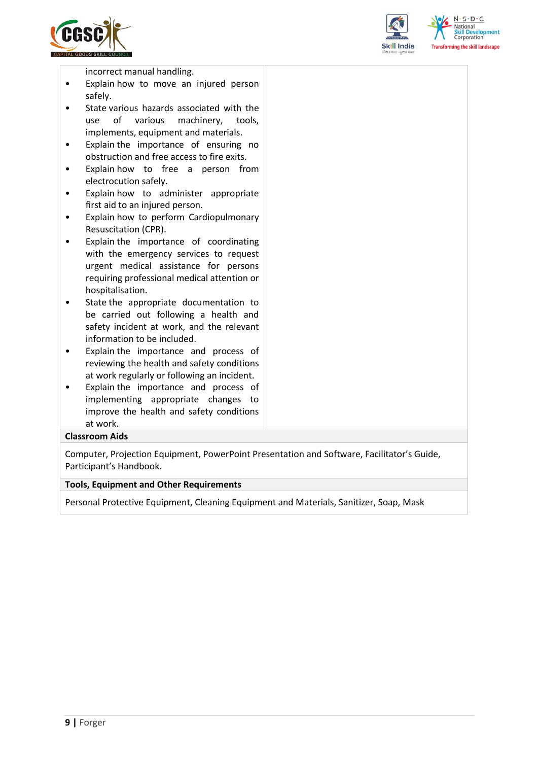



**elopment** 

incorrect manual handling.

- Explain how to move an injured person safely.
- State various hazards associated with the use of various machinery, tools, implements, equipment and materials.
- Explain the importance of ensuring no obstruction and free access to fire exits.
- Explain how to free a person from electrocution safely.
- Explain how to administer appropriate first aid to an injured person.
- Explain how to perform Cardiopulmonary Resuscitation (CPR).
- Explain the importance of coordinating with the emergency services to request urgent medical assistance for persons requiring professional medical attention or hospitalisation.
- State the appropriate documentation to be carried out following a health and safety incident at work, and the relevant information to be included.
- Explain the importance and process of reviewing the health and safety conditions at work regularly or following an incident.
- Explain the importance and process of implementing appropriate changes to improve the health and safety conditions at work.

#### **Classroom Aids**

Computer, Projection Equipment, PowerPoint Presentation and Software, Facilitator's Guide, Participant's Handbook.

#### **Tools, Equipment and Other Requirements**

Personal Protective Equipment, Cleaning Equipment and Materials, Sanitizer, Soap, Mask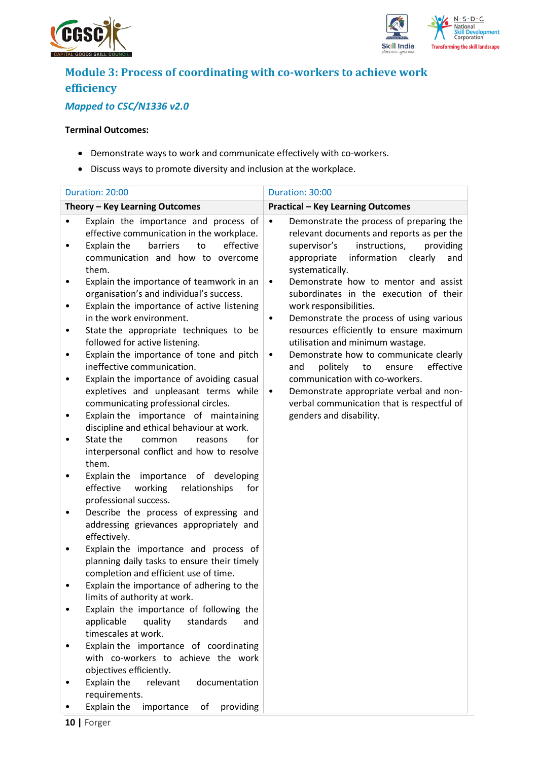



## **Module 3: Process of coordinating with co-workers to achieve work efficiency**

## *Mapped to CSC/N1336 v2.0*

- Demonstrate ways to work and communicate effectively with co-workers.
- Discuss ways to promote diversity and inclusion at the workplace.

|        | Duration: 20:00                                                                                                                                                                | Duration: 30:00                                                                                                                                                                                                     |
|--------|--------------------------------------------------------------------------------------------------------------------------------------------------------------------------------|---------------------------------------------------------------------------------------------------------------------------------------------------------------------------------------------------------------------|
|        | Theory - Key Learning Outcomes                                                                                                                                                 | <b>Practical - Key Learning Outcomes</b>                                                                                                                                                                            |
|        | Explain the importance and process of<br>effective communication in the workplace.<br>to<br>effective<br>Explain the<br>barriers<br>communication and how to overcome<br>them. | Demonstrate the process of preparing the<br>$\bullet$<br>relevant documents and reports as per the<br>instructions,<br>providing<br>supervisor's<br>information<br>appropriate<br>clearly<br>and<br>systematically. |
| ٠      | Explain the importance of teamwork in an<br>organisation's and individual's success.<br>Explain the importance of active listening<br>in the work environment.                 | Demonstrate how to mentor and assist<br>$\bullet$<br>subordinates in the execution of their<br>work responsibilities.                                                                                               |
| ٠<br>٠ | State the appropriate techniques to be<br>followed for active listening.<br>Explain the importance of tone and pitch                                                           | Demonstrate the process of using various<br>٠<br>resources efficiently to ensure maximum<br>utilisation and minimum wastage.<br>Demonstrate how to communicate clearly<br>$\bullet$                                 |
|        | ineffective communication.<br>Explain the importance of avoiding casual<br>expletives and unpleasant terms while                                                               | politely<br>to<br>ensure<br>effective<br>and<br>communication with co-workers.<br>Demonstrate appropriate verbal and non-<br>$\bullet$                                                                              |
|        | communicating professional circles.<br>Explain the importance of maintaining<br>discipline and ethical behaviour at work.<br>State the<br>for<br>common<br>reasons             | verbal communication that is respectful of<br>genders and disability.                                                                                                                                               |
|        | interpersonal conflict and how to resolve<br>them.<br>Explain the importance of developing                                                                                     |                                                                                                                                                                                                                     |
| ٠      | effective<br>working<br>relationships<br>for<br>professional success.<br>Describe the process of expressing and                                                                |                                                                                                                                                                                                                     |
|        | addressing grievances appropriately and<br>effectively.                                                                                                                        |                                                                                                                                                                                                                     |
|        | Explain the importance and process of<br>planning daily tasks to ensure their timely<br>completion and efficient use of time.                                                  |                                                                                                                                                                                                                     |
|        | Explain the importance of adhering to the<br>limits of authority at work.<br>Explain the importance of following the                                                           |                                                                                                                                                                                                                     |
|        | applicable<br>quality<br>standards<br>and<br>timescales at work.                                                                                                               |                                                                                                                                                                                                                     |
|        | Explain the importance of coordinating<br>with co-workers to achieve the work<br>objectives efficiently.                                                                       |                                                                                                                                                                                                                     |
|        | Explain the<br>relevant<br>documentation<br>requirements.<br>Explain the<br>importance<br>of<br>providing                                                                      |                                                                                                                                                                                                                     |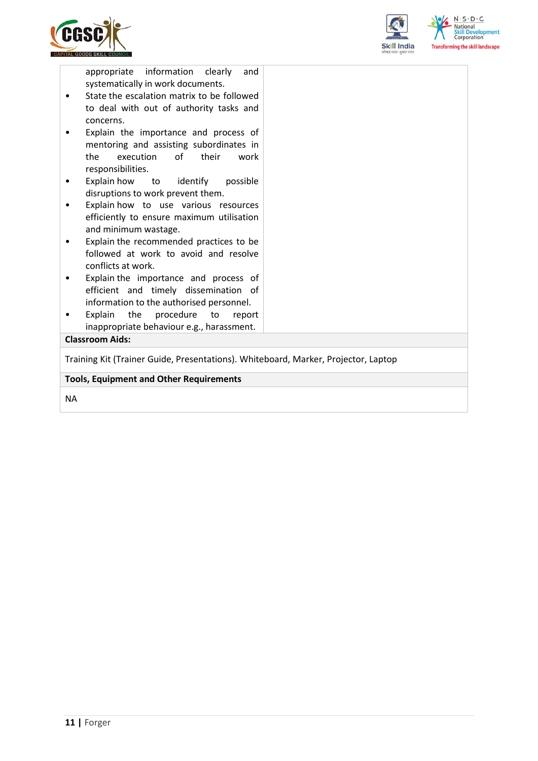



appropriate information clearly and systematically in work documents.

- State the escalation matrix to be followed to deal with out of authority tasks and concerns.
- Explain the importance and process of mentoring and assisting subordinates in the execution of their work responsibilities.
- Explain how to identify possible disruptions to work prevent them.
- Explain how to use various resources efficiently to ensure maximum utilisation and minimum wastage.
- Explain the recommended practices to be followed at work to avoid and resolve conflicts at work.
- Explain the importance and process of efficient and timely dissemination of information to the authorised personnel.
- Explain the procedure to report inappropriate behaviour e.g., harassment.

### **Classroom Aids:**

Training Kit (Trainer Guide, Presentations). Whiteboard, Marker, Projector, Laptop

#### **Tools, Equipment and Other Requirements**

NA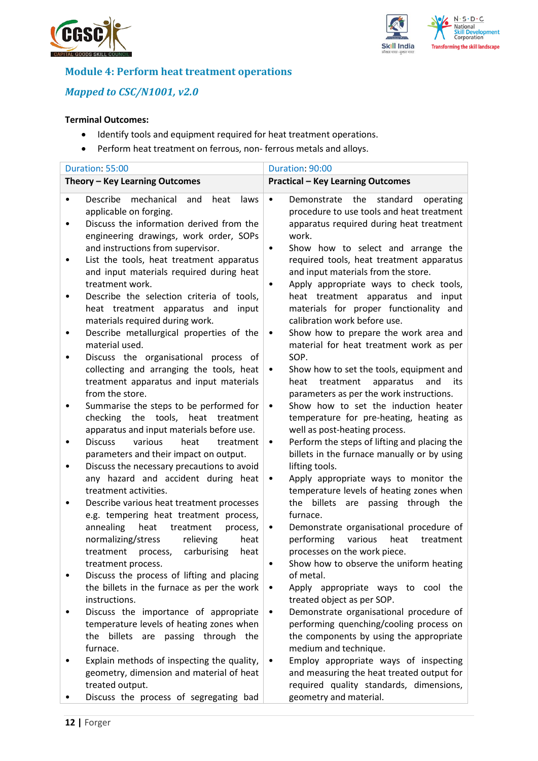



## **Module 4: Perform heat treatment operations**

## *Mapped to CSC/N1001, v2.0*

- Identify tools and equipment required for heat treatment operations.
- Perform heat treatment on ferrous, non- ferrous metals and alloys.

| Duration: 55:00                                                                                                                                                                                                                                                                                                                                                                                                                                                                                                                                                                                                                                                                                                                                                                                                                                                                                                                                                                                                                                                                                                                                                                                                  | Duration: 90:00                                                                                                                                                                                                                                                                                                                                                                                                                                                                                                                                                                                                                                                                                                                                                                                                                                                                                                                                                                                                                                                                                                                                                                                                                        |
|------------------------------------------------------------------------------------------------------------------------------------------------------------------------------------------------------------------------------------------------------------------------------------------------------------------------------------------------------------------------------------------------------------------------------------------------------------------------------------------------------------------------------------------------------------------------------------------------------------------------------------------------------------------------------------------------------------------------------------------------------------------------------------------------------------------------------------------------------------------------------------------------------------------------------------------------------------------------------------------------------------------------------------------------------------------------------------------------------------------------------------------------------------------------------------------------------------------|----------------------------------------------------------------------------------------------------------------------------------------------------------------------------------------------------------------------------------------------------------------------------------------------------------------------------------------------------------------------------------------------------------------------------------------------------------------------------------------------------------------------------------------------------------------------------------------------------------------------------------------------------------------------------------------------------------------------------------------------------------------------------------------------------------------------------------------------------------------------------------------------------------------------------------------------------------------------------------------------------------------------------------------------------------------------------------------------------------------------------------------------------------------------------------------------------------------------------------------|
| Theory - Key Learning Outcomes                                                                                                                                                                                                                                                                                                                                                                                                                                                                                                                                                                                                                                                                                                                                                                                                                                                                                                                                                                                                                                                                                                                                                                                   | <b>Practical - Key Learning Outcomes</b>                                                                                                                                                                                                                                                                                                                                                                                                                                                                                                                                                                                                                                                                                                                                                                                                                                                                                                                                                                                                                                                                                                                                                                                               |
| Describe<br>mechanical<br>and<br>heat<br>laws<br>$\bullet$<br>applicable on forging.<br>Discuss the information derived from the<br>engineering drawings, work order, SOPs<br>and instructions from supervisor.<br>List the tools, heat treatment apparatus<br>٠<br>and input materials required during heat<br>treatment work.<br>Describe the selection criteria of tools,<br>heat treatment apparatus and<br>input<br>materials required during work.<br>Describe metallurgical properties of the<br>material used.<br>Discuss the organisational process of<br>٠<br>collecting and arranging the tools, heat<br>treatment apparatus and input materials<br>from the store.<br>Summarise the steps to be performed for<br>٠<br>checking the tools, heat treatment<br>apparatus and input materials before use.<br>various<br><b>Discuss</b><br>heat<br>treatment<br>parameters and their impact on output.<br>Discuss the necessary precautions to avoid<br>٠<br>any hazard and accident during heat<br>treatment activities.<br>Describe various heat treatment processes<br>e.g. tempering heat treatment process,<br>annealing<br>heat<br>treatment<br>process,<br>relieving<br>normalizing/stress<br>heat | Demonstrate<br>the<br>standard<br>operating<br>$\bullet$<br>procedure to use tools and heat treatment<br>apparatus required during heat treatment<br>work.<br>Show how to select and arrange the<br>٠<br>required tools, heat treatment apparatus<br>and input materials from the store.<br>Apply appropriate ways to check tools,<br>heat treatment apparatus and<br>input<br>materials for proper functionality and<br>calibration work before use.<br>Show how to prepare the work area and<br>$\bullet$<br>material for heat treatment work as per<br>SOP.<br>Show how to set the tools, equipment and<br>$\bullet$<br>treatment<br>its<br>heat<br>apparatus<br>and<br>parameters as per the work instructions.<br>Show how to set the induction heater<br>$\bullet$<br>temperature for pre-heating, heating as<br>well as post-heating process.<br>Perform the steps of lifting and placing the<br>$\bullet$<br>billets in the furnace manually or by using<br>lifting tools.<br>Apply appropriate ways to monitor the<br>$\bullet$<br>temperature levels of heating zones when<br>passing through the<br>the billets<br>are<br>furnace.<br>Demonstrate organisational procedure of<br>performing<br>various<br>heat<br>treatment |
| process,<br>carburising<br>treatment<br>heat<br>treatment process.                                                                                                                                                                                                                                                                                                                                                                                                                                                                                                                                                                                                                                                                                                                                                                                                                                                                                                                                                                                                                                                                                                                                               | processes on the work piece.<br>Show how to observe the uniform heating                                                                                                                                                                                                                                                                                                                                                                                                                                                                                                                                                                                                                                                                                                                                                                                                                                                                                                                                                                                                                                                                                                                                                                |
| Discuss the process of lifting and placing<br>the billets in the furnace as per the work<br>instructions.                                                                                                                                                                                                                                                                                                                                                                                                                                                                                                                                                                                                                                                                                                                                                                                                                                                                                                                                                                                                                                                                                                        | of metal.<br>Apply appropriate ways to cool the<br>٠<br>treated object as per SOP.                                                                                                                                                                                                                                                                                                                                                                                                                                                                                                                                                                                                                                                                                                                                                                                                                                                                                                                                                                                                                                                                                                                                                     |
| Discuss the importance of appropriate<br>temperature levels of heating zones when<br>the billets are passing through the<br>furnace.<br>Explain methods of inspecting the quality,                                                                                                                                                                                                                                                                                                                                                                                                                                                                                                                                                                                                                                                                                                                                                                                                                                                                                                                                                                                                                               | Demonstrate organisational procedure of<br>performing quenching/cooling process on<br>the components by using the appropriate<br>medium and technique.<br>Employ appropriate ways of inspecting                                                                                                                                                                                                                                                                                                                                                                                                                                                                                                                                                                                                                                                                                                                                                                                                                                                                                                                                                                                                                                        |
| geometry, dimension and material of heat<br>treated output.<br>Discuss the process of segregating bad                                                                                                                                                                                                                                                                                                                                                                                                                                                                                                                                                                                                                                                                                                                                                                                                                                                                                                                                                                                                                                                                                                            | and measuring the heat treated output for<br>required quality standards, dimensions,<br>geometry and material.                                                                                                                                                                                                                                                                                                                                                                                                                                                                                                                                                                                                                                                                                                                                                                                                                                                                                                                                                                                                                                                                                                                         |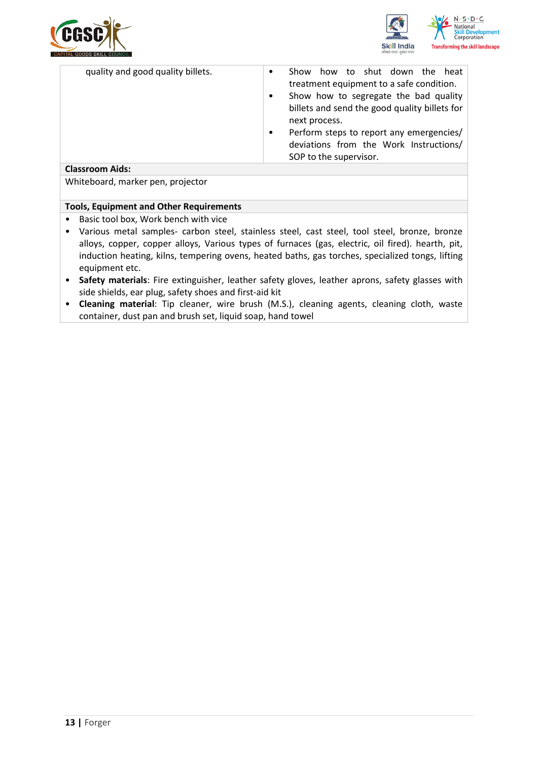



| quality and good quality billets. | to shut down<br><b>Show</b><br>how<br>the<br>heat<br>$\bullet$<br>treatment equipment to a safe condition.<br>Show how to segregate the bad quality<br>$\bullet$<br>billets and send the good quality billets for<br>next process.<br>Perform steps to report any emergencies/<br>$\bullet$<br>deviations from the Work Instructions/ |
|-----------------------------------|---------------------------------------------------------------------------------------------------------------------------------------------------------------------------------------------------------------------------------------------------------------------------------------------------------------------------------------|
| <b>Classroom Aids:</b>            | SOP to the supervisor.                                                                                                                                                                                                                                                                                                                |

Whiteboard, marker pen, projector

### **Tools, Equipment and Other Requirements**

- Basic tool box, Work bench with vice
- Various metal samples- carbon steel, stainless steel, cast steel, tool steel, bronze, bronze alloys, copper, copper alloys, Various types of furnaces (gas, electric, oil fired). hearth, pit, induction heating, kilns, tempering ovens, heated baths, gas torches, specialized tongs, lifting equipment etc.
- **Safety materials**: Fire extinguisher, leather safety gloves, leather aprons, safety glasses with side shields, ear plug, safety shoes and first-aid kit
- **Cleaning material**: Tip cleaner, wire brush (M.S.), cleaning agents, cleaning cloth, waste container, dust pan and brush set, liquid soap, hand towel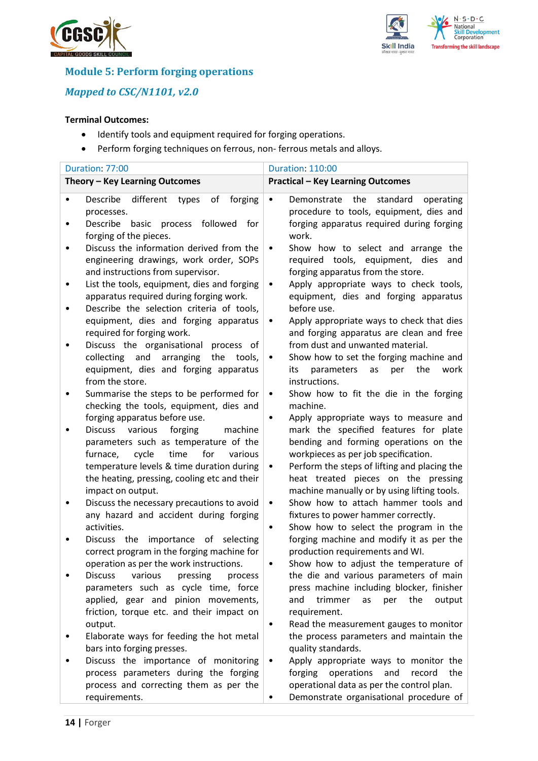



## **Module 5: Perform forging operations**

## *Mapped to CSC/N1101, v2.0*

- Identify tools and equipment required for forging operations.
- Perform forging techniques on ferrous, non- ferrous metals and alloys.

|                | Duration: 77:00                                                                                                                                                                                                                                                                                         | <b>Duration: 110:00</b>                                                                                                                                                                                                                                                                                                       |
|----------------|---------------------------------------------------------------------------------------------------------------------------------------------------------------------------------------------------------------------------------------------------------------------------------------------------------|-------------------------------------------------------------------------------------------------------------------------------------------------------------------------------------------------------------------------------------------------------------------------------------------------------------------------------|
|                | Theory - Key Learning Outcomes                                                                                                                                                                                                                                                                          | <b>Practical - Key Learning Outcomes</b>                                                                                                                                                                                                                                                                                      |
| ٠<br>٠         | different<br>forging<br>Describe<br>types<br>οf<br>processes.<br>basic process followed for<br>Describe                                                                                                                                                                                                 | Demonstrate<br>the<br>standard<br>operating<br>$\bullet$<br>procedure to tools, equipment, dies and<br>forging apparatus required during forging                                                                                                                                                                              |
|                | forging of the pieces.<br>Discuss the information derived from the<br>engineering drawings, work order, SOPs<br>and instructions from supervisor.                                                                                                                                                       | work.<br>Show how to select and arrange the<br>$\bullet$<br>required tools, equipment, dies<br>and<br>forging apparatus from the store.                                                                                                                                                                                       |
| ٠<br>$\bullet$ | List the tools, equipment, dies and forging<br>apparatus required during forging work.<br>Describe the selection criteria of tools,                                                                                                                                                                     | Apply appropriate ways to check tools,<br>$\bullet$<br>equipment, dies and forging apparatus<br>before use.                                                                                                                                                                                                                   |
|                | equipment, dies and forging apparatus<br>required for forging work.<br>Discuss the organisational<br>process of                                                                                                                                                                                         | Apply appropriate ways to check that dies<br>٠<br>and forging apparatus are clean and free<br>from dust and unwanted material.                                                                                                                                                                                                |
|                | and<br>collecting<br>arranging<br>the<br>tools,<br>equipment, dies and forging apparatus<br>from the store.                                                                                                                                                                                             | Show how to set the forging machine and<br>$\bullet$<br>the<br>parameters<br>as<br>per<br>work<br>its<br>instructions.                                                                                                                                                                                                        |
| ٠              | Summarise the steps to be performed for<br>checking the tools, equipment, dies and<br>forging apparatus before use.                                                                                                                                                                                     | Show how to fit the die in the forging<br>$\bullet$<br>machine.<br>Apply appropriate ways to measure and<br>$\bullet$                                                                                                                                                                                                         |
|                | various<br>forging<br><b>Discuss</b><br>machine<br>parameters such as temperature of the<br>furnace,<br>cycle<br>time<br>for<br>various<br>temperature levels & time duration during<br>the heating, pressing, cooling etc and their<br>impact on output.<br>Discuss the necessary precautions to avoid | mark the specified features for plate<br>bending and forming operations on the<br>workpieces as per job specification.<br>Perform the steps of lifting and placing the<br>$\bullet$<br>heat treated pieces on the pressing<br>machine manually or by using lifting tools.<br>Show how to attach hammer tools and<br>$\bullet$ |
|                | any hazard and accident during forging<br>activities.<br>importance of<br>Discuss the<br>selecting                                                                                                                                                                                                      | fixtures to power hammer correctly.<br>Show how to select the program in the<br>$\bullet$<br>forging machine and modify it as per the                                                                                                                                                                                         |
|                | correct program in the forging machine for<br>operation as per the work instructions.                                                                                                                                                                                                                   | production requirements and WI.<br>Show how to adjust the temperature of<br>٠                                                                                                                                                                                                                                                 |
|                | <b>Discuss</b><br>various<br>pressing<br>process<br>parameters such as cycle time, force<br>applied, gear and pinion movements,<br>friction, torque etc. and their impact on<br>output.                                                                                                                 | the die and various parameters of main<br>press machine including blocker, finisher<br>trimmer<br>the<br>and<br>output<br>as<br>per<br>requirement.<br>Read the measurement gauges to monitor<br>$\bullet$                                                                                                                    |
|                | Elaborate ways for feeding the hot metal<br>bars into forging presses.<br>Discuss the importance of monitoring                                                                                                                                                                                          | the process parameters and maintain the<br>quality standards.<br>Apply appropriate ways to monitor the<br>$\bullet$                                                                                                                                                                                                           |
|                | process parameters during the forging<br>process and correcting them as per the<br>requirements.                                                                                                                                                                                                        | forging operations<br>and<br>record<br>the<br>operational data as per the control plan.<br>Demonstrate organisational procedure of<br>٠                                                                                                                                                                                       |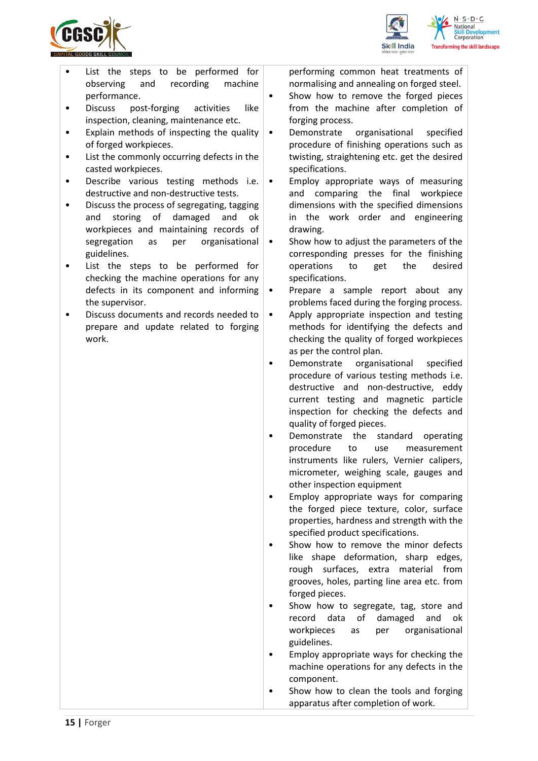





- List the steps to be performed for observing and recording machine performance.
- Discuss post-forging activities like inspection, cleaning, maintenance etc.
- Explain methods of inspecting the quality of forged workpieces.
- List the commonly occurring defects in the casted workpieces.
- Describe various testing methods i.e. destructive and non-destructive tests.
- Discuss the process of segregating, tagging and storing of damaged and ok workpieces and maintaining records of segregation as per organisational guidelines.
- List the steps to be performed for checking the machine operations for any defects in its component and informing the supervisor.
- Discuss documents and records needed to prepare and update related to forging work.

performing common heat treatments of normalising and annealing on forged steel.

- Show how to remove the forged pieces from the machine after completion of forging process.
- Demonstrate organisational specified procedure of finishing operations such as twisting, straightening etc. get the desired specifications.
- Employ appropriate ways of measuring and comparing the final workpiece dimensions with the specified dimensions in the work order and engineering drawing.
- Show how to adjust the parameters of the corresponding presses for the finishing operations to get the desired specifications.
- Prepare a sample report about any problems faced during the forging process.
- Apply appropriate inspection and testing methods for identifying the defects and checking the quality of forged workpieces as per the control plan.
- Demonstrate organisational specified procedure of various testing methods i.e. destructive and non-destructive, eddy current testing and magnetic particle inspection for checking the defects and quality of forged pieces.
- Demonstrate the standard operating procedure to use measurement instruments like rulers, Vernier calipers, micrometer, weighing scale, gauges and other inspection equipment
- Employ appropriate ways for comparing the forged piece texture, color, surface properties, hardness and strength with the specified product specifications.
- Show how to remove the minor defects like shape deformation, sharp edges, rough surfaces, extra material from grooves, holes, parting line area etc. from forged pieces.
- Show how to segregate, tag, store and record data of damaged and ok workpieces as per organisational guidelines.
- Employ appropriate ways for checking the machine operations for any defects in the component.
- Show how to clean the tools and forging apparatus after completion of work.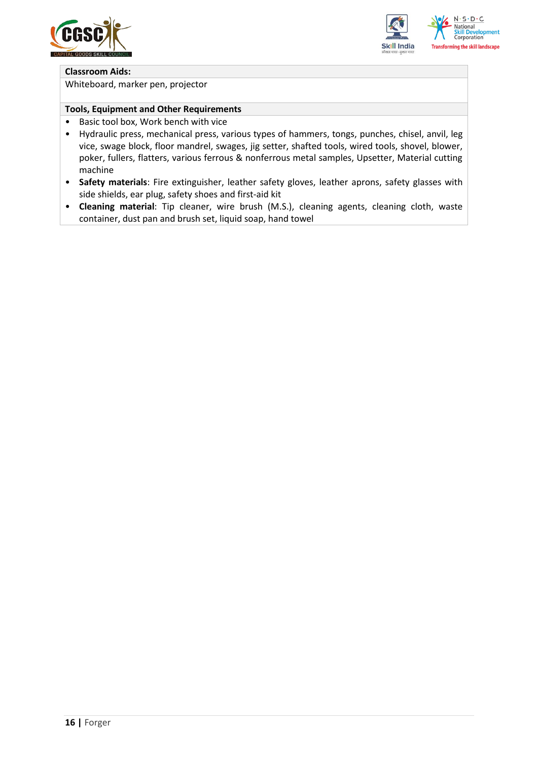



#### **Classroom Aids:**

Whiteboard, marker pen, projector

#### **Tools, Equipment and Other Requirements**

- Basic tool box, Work bench with vice
- Hydraulic press, mechanical press, various types of hammers, tongs, punches, chisel, anvil, leg vice, swage block, floor mandrel, swages, jig setter, shafted tools, wired tools, shovel, blower, poker, fullers, flatters, various ferrous & nonferrous metal samples, Upsetter, Material cutting machine
- **Safety materials**: Fire extinguisher, leather safety gloves, leather aprons, safety glasses with side shields, ear plug, safety shoes and first-aid kit
- **Cleaning material**: Tip cleaner, wire brush (M.S.), cleaning agents, cleaning cloth, waste container, dust pan and brush set, liquid soap, hand towel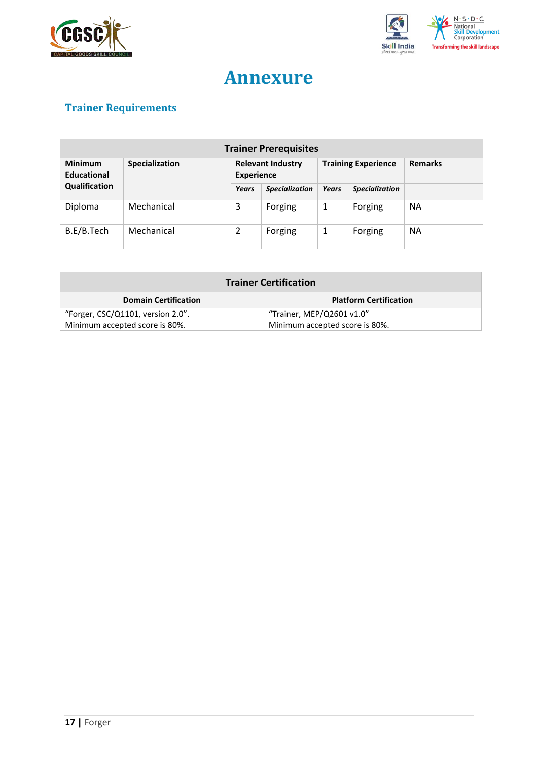



## **Annexure**

## <span id="page-16-0"></span>**Trainer Requirements**

| <b>Trainer Prerequisites</b>         |                |                                               |                       |              |                            |                |
|--------------------------------------|----------------|-----------------------------------------------|-----------------------|--------------|----------------------------|----------------|
| <b>Minimum</b><br><b>Educational</b> | Specialization | <b>Relevant Industry</b><br><b>Experience</b> |                       |              | <b>Training Experience</b> | <b>Remarks</b> |
| Qualification                        |                | Years                                         | <b>Specialization</b> | <b>Years</b> | <b>Specialization</b>      |                |
| Diploma                              | Mechanical     | 3                                             | Forging               | 1            | Forging                    | <b>NA</b>      |
| B.E/B.Tech                           | Mechanical     | 2                                             | Forging               | 1            | Forging                    | <b>NA</b>      |

| <b>Trainer Certification</b>      |                                |  |
|-----------------------------------|--------------------------------|--|
| <b>Domain Certification</b>       | <b>Platform Certification</b>  |  |
| "Forger, CSC/Q1101, version 2.0". | "Trainer, MEP/Q2601 v1.0"      |  |
| Minimum accepted score is 80%.    | Minimum accepted score is 80%. |  |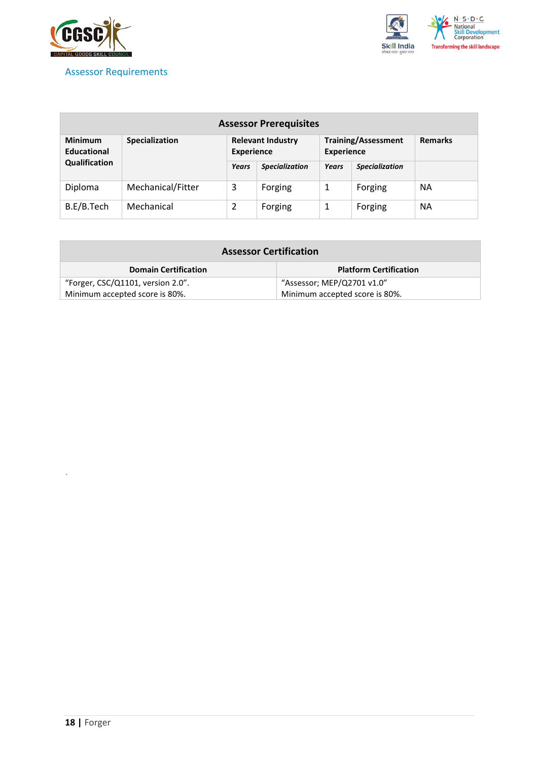

### <span id="page-17-0"></span>Assessor Requirements



| <b>Assessor Prerequisites</b>        |                       |                                               |                       |                                                 |                       |                |  |
|--------------------------------------|-----------------------|-----------------------------------------------|-----------------------|-------------------------------------------------|-----------------------|----------------|--|
| <b>Minimum</b><br><b>Educational</b> | <b>Specialization</b> | <b>Relevant Industry</b><br><b>Experience</b> |                       | <b>Training/Assessment</b><br><b>Experience</b> |                       | <b>Remarks</b> |  |
| Qualification                        |                       | Years                                         | <b>Specialization</b> | Years                                           | <b>Specialization</b> |                |  |
| Diploma                              | Mechanical/Fitter     | 3                                             | Forging               | 1                                               | Forging               | <b>NA</b>      |  |
| B.E/B.Tech                           | Mechanical            |                                               | Forging               |                                                 | Forging               | ΝA             |  |

| <b>Assessor Certification</b>     |                                |  |  |  |
|-----------------------------------|--------------------------------|--|--|--|
| <b>Domain Certification</b>       | <b>Platform Certification</b>  |  |  |  |
| "Forger, CSC/Q1101, version 2.0". | "Assessor; MEP/Q2701 v1.0"     |  |  |  |
| Minimum accepted score is 80%.    | Minimum accepted score is 80%. |  |  |  |

*`*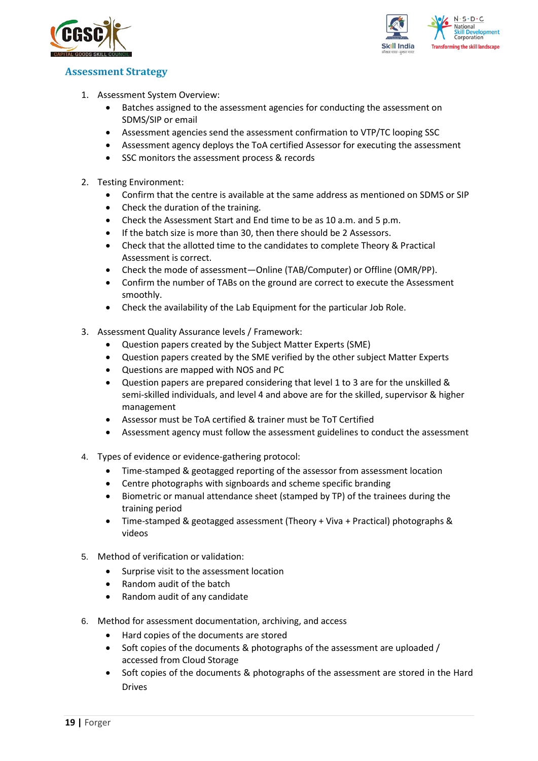



## <span id="page-18-0"></span>**Assessment Strategy**

- 1. Assessment System Overview:
	- Batches assigned to the assessment agencies for conducting the assessment on SDMS/SIP or email
	- Assessment agencies send the assessment confirmation to VTP/TC looping SSC
	- Assessment agency deploys the ToA certified Assessor for executing the assessment
	- SSC monitors the assessment process & records
- 2. Testing Environment:
	- Confirm that the centre is available at the same address as mentioned on SDMS or SIP
	- Check the duration of the training.
	- Check the Assessment Start and End time to be as 10 a.m. and 5 p.m.
	- If the batch size is more than 30, then there should be 2 Assessors.
	- Check that the allotted time to the candidates to complete Theory & Practical Assessment is correct.
	- Check the mode of assessment—Online (TAB/Computer) or Offline (OMR/PP).
	- Confirm the number of TABs on the ground are correct to execute the Assessment smoothly.
	- Check the availability of the Lab Equipment for the particular Job Role.
- 3. Assessment Quality Assurance levels / Framework:
	- Question papers created by the Subject Matter Experts (SME)
	- Question papers created by the SME verified by the other subject Matter Experts
	- Questions are mapped with NOS and PC
	- Question papers are prepared considering that level 1 to 3 are for the unskilled & semi-skilled individuals, and level 4 and above are for the skilled, supervisor & higher management
	- Assessor must be ToA certified & trainer must be ToT Certified
	- Assessment agency must follow the assessment guidelines to conduct the assessment
- 4. Types of evidence or evidence-gathering protocol:
	- Time-stamped & geotagged reporting of the assessor from assessment location
	- Centre photographs with signboards and scheme specific branding
	- Biometric or manual attendance sheet (stamped by TP) of the trainees during the training period
	- Time-stamped & geotagged assessment (Theory + Viva + Practical) photographs & videos
- 5. Method of verification or validation:
	- Surprise visit to the assessment location
	- Random audit of the batch
	- Random audit of any candidate
- 6. Method for assessment documentation, archiving, and access
	- Hard copies of the documents are stored
	- Soft copies of the documents & photographs of the assessment are uploaded / accessed from Cloud Storage
	- Soft copies of the documents & photographs of the assessment are stored in the Hard Drives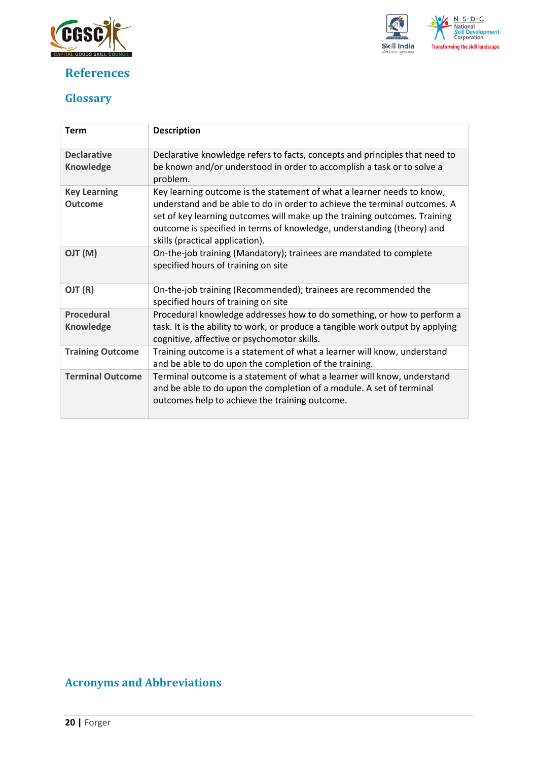

## <span id="page-19-0"></span>**References**



## <span id="page-19-1"></span>**Glossary**

| <b>Term</b>                            | <b>Description</b>                                                                                                                                                                                                                                                                                                                            |
|----------------------------------------|-----------------------------------------------------------------------------------------------------------------------------------------------------------------------------------------------------------------------------------------------------------------------------------------------------------------------------------------------|
| <b>Declarative</b><br><b>Knowledge</b> | Declarative knowledge refers to facts, concepts and principles that need to<br>be known and/or understood in order to accomplish a task or to solve a<br>problem.                                                                                                                                                                             |
| <b>Key Learning</b><br><b>Outcome</b>  | Key learning outcome is the statement of what a learner needs to know,<br>understand and be able to do in order to achieve the terminal outcomes. A<br>set of key learning outcomes will make up the training outcomes. Training<br>outcome is specified in terms of knowledge, understanding (theory) and<br>skills (practical application). |
| (M) TLO                                | On-the-job training (Mandatory); trainees are mandated to complete<br>specified hours of training on site                                                                                                                                                                                                                                     |
| OJT (R)                                | On-the-job training (Recommended); trainees are recommended the<br>specified hours of training on site                                                                                                                                                                                                                                        |
| <b>Procedural</b><br>Knowledge         | Procedural knowledge addresses how to do something, or how to perform a<br>task. It is the ability to work, or produce a tangible work output by applying<br>cognitive, affective or psychomotor skills.                                                                                                                                      |
| <b>Training Outcome</b>                | Training outcome is a statement of what a learner will know, understand<br>and be able to do upon the completion of the training.                                                                                                                                                                                                             |
| <b>Terminal Outcome</b>                | Terminal outcome is a statement of what a learner will know, understand<br>and be able to do upon the completion of a module. A set of terminal<br>outcomes help to achieve the training outcome.                                                                                                                                             |

## <span id="page-19-2"></span>**Acronyms and Abbreviations**